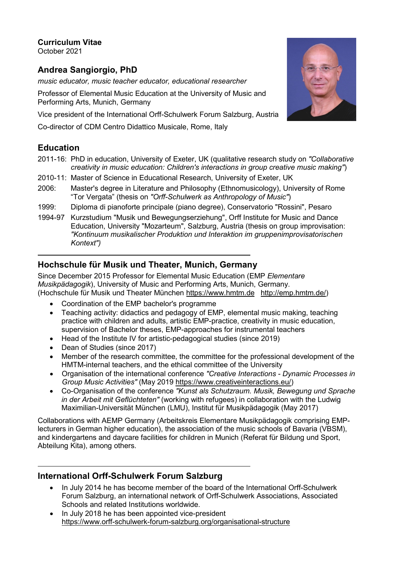**Curriculum Vitae**

October 2021

# **Andrea Sangiorgio, PhD**

*music educator, music teacher educator, educational researcher*

Professor of Elemental Music Education at the University of Music and Performing Arts, Munich, Germany

Vice president of the International Orff-Schulwerk Forum Salzburg, Austria

Co-director of CDM Centro Didattico Musicale, Rome, Italy

# **Education**

- 2011-16: PhD in education, University of Exeter, UK (qualitative research study on *"Collaborative creativity in music education: Children's interactions in group creative music making"*)
- 2010-11: Master of Science in Educational Research, University of Exeter, UK
- 2006: Master's degree in Literature and Philosophy (Ethnomusicology), University of Rome "Tor Vergata" (thesis on *"Orff-Schulwerk as Anthropology of Music"*)
- 1999: Diploma di pianoforte principale (piano degree), Conservatorio "Rossini", Pesaro
- 1994-97 Kurzstudium "Musik und Bewegungserziehung", Orff Institute for Music and Dance Education, University "Mozarteum", Salzburg, Austria (thesis on group improvisation: *"Kontinuum musikalischer Produktion und Interaktion im gruppenimprovisatorischen Kontext")*

# **Hochschule für Musik und Theater, Munich, Germany**

Since December 2015 Professor for Elemental Music Education (EMP *Elementare Musikpädagogik*), University of Music and Performing Arts, Munich, Germany. (Hochschule für Musik und Theater München [https://www.hmtm.de](https://www.hmtm.de/) [http://emp.hmtm.de/\)](http://emp.hmtm.de/)

- Coordination of the EMP bachelor's programme
- Teaching activity: didactics and pedagogy of EMP, elemental music making, teaching practice with children and adults, artistic EMP-practice, creativity in music education, supervision of Bachelor theses, EMP-approaches for instrumental teachers
- Head of the Institute IV for artistic-pedagogical studies (since 2019)
- Dean of Studies (since 2017)
- Member of the research committee, the committee for the professional development of the HMTM-internal teachers, and the ethical committee of the University
- Organisation of the international conference *"Creative Interactions - Dynamic Processes in Group Music Activities"* (May 2019 [https://www.creativeinteractions.eu/\)](https://www.creativeinteractions.eu/)
- Co-Organisation of the conference *"Kunst als Schutzraum. Musik, Bewegung und Sprache in der Arbeit mit Geflüchteten"* (working with refugees) in collaboration with the Ludwig Maximilian-Universität München (LMU), Institut für Musikpädagogik (May 2017)

Collaborations with AEMP Germany (Arbeitskreis Elementare Musikpädagogik comprising EMPlecturers in German higher education), the association of the music schools of Bavaria (VBSM), and kindergartens and daycare facilities for children in Munich (Referat für Bildung und Sport, Abteilung Kita), among others.

## **International Orff-Schulwerk Forum Salzburg**

- In July 2014 he has become member of the board of the International Orff-Schulwerk Forum Salzburg, an international network of Orff-Schulwerk Associations, Associated Schools and related Institutions worldwide.
- In July 2018 he has been appointed vice-president <https://www.orff-schulwerk-forum-salzburg.org/organisational-structure>

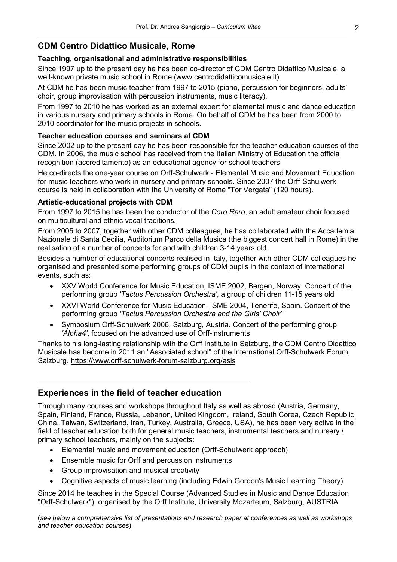## **CDM Centro Didattico Musicale, Rome**

## **Teaching, organisational and administrative responsibilities**

Since 1997 up to the present day he has been co-director of CDM Centro Didattico Musicale, a well-known private music school in Rome [\(www.centrodidatticomusicale.it\)](http://www.centrodidatticomusicale.it/).

At CDM he has been music teacher from 1997 to 2015 (piano, percussion for beginners, adults' choir, group improvisation with percussion instruments, music literacy).

From 1997 to 2010 he has worked as an external expert for elemental music and dance education in various nursery and primary schools in Rome. On behalf of CDM he has been from 2000 to 2010 coordinator for the music projects in schools.

### **Teacher education courses and seminars at CDM**

Since 2002 up to the present day he has been responsible for the teacher education courses of the CDM. In 2006, the music school has received from the Italian Ministry of Education the official recognition (accreditamento) as an educational agency for school teachers.

He co-directs the one-year course on Orff-Schulwerk - Elemental Music and Movement Education for music teachers who work in nursery and primary schools. Since 2007 the Orff-Schulwerk course is held in collaboration with the University of Rome "Tor Vergata" (120 hours).

### **Artistic-educational projects with CDM**

From 1997 to 2015 he has been the conductor of the *Coro Raro*, an adult amateur choir focused on multicultural and ethnic vocal traditions.

From 2005 to 2007, together with other CDM colleagues, he has collaborated with the Accademia Nazionale di Santa Cecilia, Auditorium Parco della Musica (the biggest concert hall in Rome) in the realisation of a number of concerts for and with children 3-14 years old.

Besides a number of educational concerts realised in Italy, together with other CDM colleagues he organised and presented some performing groups of CDM pupils in the context of international events, such as:

- XXV World Conference for Music Education, ISME 2002, Bergen, Norway. Concert of the performing group *'Tactus Percussion Orchestra'*, a group of children 11-15 years old
- XXVI World Conference for Music Education, ISME 2004, Tenerife, Spain. Concert of the performing group *'Tactus Percussion Orchestra and the Girls' Choir'*
- Symposium Orff-Schulwerk 2006, Salzburg, Austria. Concert of the performing group *'Alpha4'*, focused on the advanced use of Orff-instruments

Thanks to his long-lasting relationship with the Orff Institute in Salzburg, the CDM Centro Didattico Musicale has become in 2011 an "Associated school" of the International Orff-Schulwerk Forum, Salzburg. <https://www.orff-schulwerk-forum-salzburg.org/asis>

## **Experiences in the field of teacher education**

Through many courses and workshops throughout Italy as well as abroad (Austria, Germany, Spain, Finland, France, Russia, Lebanon, United Kingdom, Ireland, South Corea, Czech Republic, China, Taiwan, Switzerland, Iran, Turkey, Australia, Greece, USA), he has been very active in the field of teacher education both for general music teachers, instrumental teachers and nursery / primary school teachers, mainly on the subjects:

- Elemental music and movement education (Orff-Schulwerk approach)
- Ensemble music for Orff and percussion instruments
- Group improvisation and musical creativity
- Cognitive aspects of music learning (including Edwin Gordon's Music Learning Theory)

Since 2014 he teaches in the Special Course (Advanced Studies in Music and Dance Education "Orff-Schulwerk"), organised by the Orff Institute, University Mozarteum, Salzburg, AUSTRIA

(*see below a comprehensive list of presentations and research paper at conferences as well as workshops and teacher education courses*).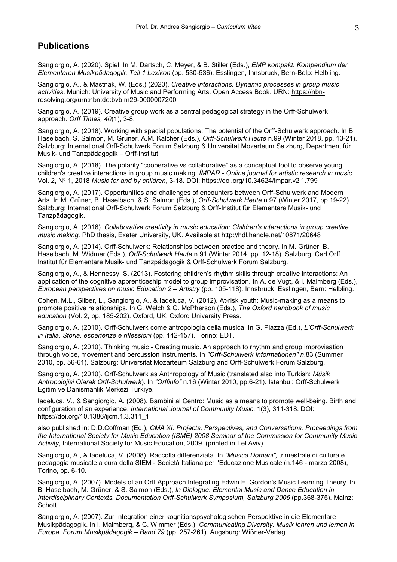## **Publications**

Sangiorgio, A. (2020). Spiel. In M. Dartsch, C. Meyer, & B. Stiller (Eds.), *EMP kompakt. Kompendium der Elementaren Musikpädagogik. Teil 1 Lexikon* (pp. 530-536). Esslingen, Innsbruck, Bern-Belp: Helbling.

Sangiorgio, A., & Mastnak, W. (Eds.) (2020). *Creative interactions. Dynamic processes in group music activities*. Munich: University of Music and Performing Arts. Open Access Book. URN: [https://nbn](https://nbn-resolving.org/urn:nbn:de:bvb:m29-0000007200)[resolving.org/urn:nbn:de:bvb:m29-0000007200](https://nbn-resolving.org/urn:nbn:de:bvb:m29-0000007200)

Sangiorgio, A. (2019). Creative group work as a central pedagogical strategy in the Orff-Schulwerk approach. *Orff Times, 40*(1), 3-8.

Sangiorgio, A. (2018). Working with special populations: The potential of the Orff-Schulwerk approach. In B. Haselbach, S. Salmon, M. Grüner, A.M. Kalcher (Eds.), *Orff-Schulwerk Heute* n.99 (Winter 2018, pp. 13-21). Salzburg: International Orff-Schulwerk Forum Salzburg & Universität Mozarteum Salzburg, Department für Musik- und Tanzpädagogik – Orff-Institut.

Sangiorgio, A. (2018). The polarity "cooperative vs collaborative" as a conceptual tool to observe young children's creative interactions in group music making. *ÍMPAR - Online journal for artistic research in music.*  Vol. 2, Nº 1, 2018 *Music for and by children*, 3-18. DOI: <https://doi.org/10.34624/impar.v2i1.799>

Sangiorgio, A. (2017). Opportunities and challenges of encounters between Orff-Schulwerk and Modern Arts. In M. Grüner, B. Haselbach, & S. Salmon (Eds.), *Orff-Schulwerk Heute* n.97 (Winter 2017, pp.19-22). Salzburg: International Orff-Schulwerk Forum Salzburg & Orff-Institut für Elementare Musik- und Tanzpädagogik.

Sangiorgio, A. (2016). *Collaborative creativity in music education: Children's interactions in group creative music making.* PhD thesis, Exeter University, UK. Available at<http://hdl.handle.net/10871/20648>

Sangiorgio, A. (2014). Orff-Schulwerk: Relationships between practice and theory. In M. Grüner, B. Haselbach, M. Widmer (Eds.), *Orff-Schulwerk Heute* n.91 (Winter 2014, pp. 12-18). Salzburg: Carl Orff Institut für Elementare Musik- und Tanzpädagogik & Orff-Schulwerk Forum Salzburg.

Sangiorgio, A., & Hennessy, S. (2013). Fostering children's rhythm skills through creative interactions: An application of the cognitive apprenticeship model to group improvisation. In A. de Vugt, & I. Malmberg (Eds.), *European perspectives on music Education 2 – Artistry* (pp. 105-118). Innsbruck, Esslingen, Bern: Helbling.

Cohen, M.L., Silber, L., Sangiorgio, A., & Iadeluca, V. (2012). At-risk youth: Music-making as a means to promote positive relationships. In G. Welch & G. McPherson (Eds.), *The Oxford handbook of music education* (Vol. 2, pp. 185-202). Oxford, UK: Oxford University Press.

Sangiorgio, A. (2010). Orff-Schulwerk come antropologia della musica. In G. Piazza (Ed.), *L'Orff-Schulwerk in Italia. Storia, esperienze e riflessioni* (pp. 142-157). Torino: EDT.

Sangiorgio, A. (2010). Thinking music - Creating music. An approach to rhythm and group improvisation through voice, movement and percussion instruments. In *"Orff-Schulwerk Informationen" n*.83 (Summer 2010, pp. 56-61). Salzburg: Universität Mozarteum Salzburg and Orff-Schulwerk Forum Salzburg.

Sangiorgio, A. (2010). Orff-Schulwerk as Anthropology of Music (translated also into Turkish: *Müsik Antropolojisi Olarak Orff-Schulwerk*). In *"Orffinfo"* n.16 (Winter 2010, pp.6-21). Istanbul: Orff-Schulwerk Egitim ve Danismanlik Merkezi Türkiye.

Iadeluca, V., & Sangiorgio, A. (2008). Bambini al Centro: Music as a means to promote well-being. Birth and configuration of an experience. *International Journal of Community Music*, 1(3), 311-318. DOI: [https://doi.org/10.1386/ijcm.1.3.311\\_1](https://doi.org/10.1386/ijcm.1.3.311_1)

also published in: D.D.Coffman (Ed.), *CMA XI. Projects, Perspectives, and Conversations. Proceedings from the International Society for Music Education (ISME) 2008 Seminar of the Commission for Community Music Activity*, International Society for Music Education, 2009. (printed in Tel Aviv)

Sangiorgio, A., & Iadeluca, V. (2008). Raccolta differenziata. In *"Musica Domani",* trimestrale di cultura e pedagogia musicale a cura della SIEM - Società Italiana per l'Educazione Musicale (n.146 - marzo 2008), Torino, pp. 6-10.

Sangiorgio, A. (2007). Models of an Orff Approach Integrating Edwin E. Gordon's Music Learning Theory. In B. Haselbach, M. Grüner, & S. Salmon (Eds.), *In Dialogue. Elemental Music and Dance Education in Interdisciplinary Contexts. Documentation Orff-Schulwerk Symposium, Salzburg 2006* (pp.368-375). Mainz: Schott.

Sangiorgio, A. (2007). Zur Integration einer kognitionspsychologischen Perspektive in die Elementare Musikpädagogik. In I. Malmberg, & C. Wimmer (Eds.), *Communicating Diversity: Musik lehren und lernen in Europa*. *Forum Musikpädagogik – Band 79* (pp. 257-261). Augsburg: Wißner-Verlag.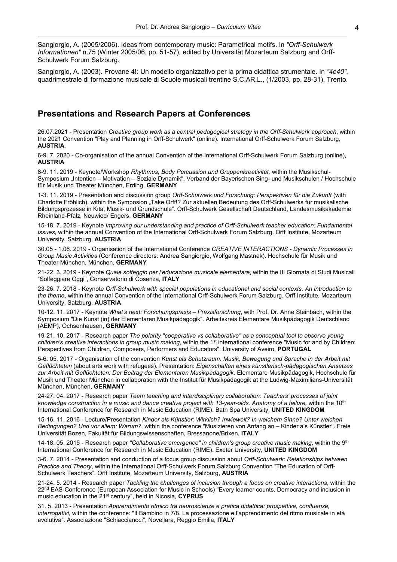Sangiorgio, A. (2005/2006). Ideas from contemporary music: Parametrical motifs. In *"Orff-Schulwerk Informationen"* n.75 (Winter 2005/06, pp. 51-57), edited by Universität Mozarteum Salzburg and Orff-Schulwerk Forum Salzburg.

Sangiorgio, A. (2003). Provane 4!: Un modello organizzativo per la prima didattica strumentale. In *"4e40"*, quadrimestrale di formazione musicale di Scuole musicali trentine S.C.AR.L., (1/2003, pp. 28-31), Trento.

## **Presentations and Research Papers at Conferences**

26.07.2021 - Presentation *Creative group work as a central pedagogical strategy in the Orff-Schulwerk approach*, within the 2021 Convention "Play and Planning in Orff-Schulwerk" (online). International Orff-Schulwerk Forum Salzburg, **AUSTRIA**.

6-9. 7. 2020 - Co-organisation of the annual Convention of the International Orff-Schulwerk Forum Salzburg (online), **AUSTRIA**

8-9. 11. 2019 - Keynote/Workshop *Rhythmus, Body Percussion und Gruppenkreativität,* within the Musikschul-Symposium "Intention – Motivation – Soziale Dynamik". Verband der Bayerischen Sing- und Musikschulen / Hochschule für Musik und Theater München, Erding, **GERMANY**

1-3. 11. 2019 - Presentation and discussion group *Orff-Schulwerk und Forschung: Perspektiven für die Zukunft* (with Charlotte Fröhlich), within the Symposion "Take Orff!? Zur aktuellen Bedeutung des Orff-Schulwerks für musikalische Bildungsprozesse in Kita, Musik- und Grundschule". Orff-Schulwerk Gesellschaft Deutschland, Landesmusikakademie Rheinland-Pfalz, Neuwied/ Engers, **GERMANY**

15-18. 7. 2019 - Keynote *Improving our understanding and practice of Orff-Schulwerk teacher education: Fundamental issues*, within the annual Convention of the International Orff-Schulwerk Forum Salzburg. Orff Institute, Mozarteum University, Salzburg, **AUSTRIA**

30.05 - 1.06. 2019 - Organisation of the International Conference *CREATIVE INTERACTIONS - Dynamic Processes in Group Music Activities* (Conference directors: Andrea Sangiorgio, Wolfgang Mastnak). Hochschule für Musik und Theater München, München, **GERMANY**

21-22. 3. 2019 - Keynote *Quale solfeggio per l'educazione musicale elementare*, within the III Giornata di Studi Musicali "Solfeggiare Oggi", Conservatorio di Cosenza, **ITALY**

23-26. 7. 2018 - Keynote *Orff-Schulwerk with special populations in educational and social contexts. An introduction to the theme*, within the annual Convention of the International Orff-Schulwerk Forum Salzburg. Orff Institute, Mozarteum University, Salzburg, **AUSTRIA**

10-12. 11. 2017 - Keynote *What's next: Forschungspraxis – Praxisforschung*, with Prof. Dr. Anne Steinbach, within the Symposium "Die Kunst (in) der Elementaren Musikpädagogik". Arbeitskreis Elementare Musikpädagogik Deutschland (AEMP), Ochsenhausen, **GERMANY**

19-21. 10. 2017 - Research paper *The polarity "cooperative vs collaborative" as a conceptual tool to observe young children's creative interactions in group music making*, within the 1st international conference "Music for and by Children: Perspectives from Children, Composers, Performers and Educators". University of Aveiro, **PORTUGAL**

5-6. 05. 2017 - Organisation of the convention *Kunst als Schutzraum: Musik, Bewegung und Sprache in der Arbeit mit Geflüchteten* (about arts work with refugees). Presentation: *Eigenschaften eines künstlerisch-pädagogischen Ansatzes zur Arbeit mit Geflüchteten: Der Beitrag der Elementaren Musikpädagogik.* Elementare Musikpädagogik, Hochschule für Musik und Theater München in collaboration with the Institut für Musikpädagogik at the Ludwig-Maximilians-Universität München, München, **GERMANY**

24-27. 04. 2017 - Research paper *Team teaching and interdisciplinary collaboration: Teachers' processes of joint knowledge construction in a music and dance creative project with 13-year-olds. Anatomy of a failure,* within the 10th International Conference for Research in Music Education (RIME). Bath Spa University, **UNITED KINGDOM**

15-16. 11. 2016 - Lecture/Presentation *Kinder als Künstler: Wirklich? Inwieweit? In welchem Sinne? Unter welchen Bedingungen? Und vor allem: Warum?*, within the conference "Musizieren von Anfang an – Kinder als Künstler". Freie Universität Bozen, Fakultät für Bildungswissenschaften, Bressanone/Brixen, **ITALY**

14-18. 05. 2015 - Research paper *"Collaborative emergence" in children's group creative music making*, within the 9th International Conference for Research in Music Education (RIME). Exeter University, **UNITED KINGDOM**

3-6. 7. 2014 - Presentation and conduction of a focus group discussion about *Orff-Schulwerk: Relationships between Practice and Theory*, within the International Orff-Schulwerk Forum Salzburg Convention "The Education of Orff-Schulwerk Teachers". Orff Institute, Mozarteum University, Salzburg, **AUSTRIA**

21-24. 5. 2014 - Research paper *Tackling the challenges of inclusion through a focus on creative interactions*, within the 22<sup>nd</sup> EAS-Conference (European Association for Music in Schools) "Every learner counts. Democracy and inclusion in music education in the 21st century", held in Nicosia, **CYPRUS**

31. 5. 2013 - Presentation *Apprendimento ritmico tra neuroscienze e pratica didattica: prospettive, confluenze, interrogativi,* within the conference: "Il Bambino in 7/8. La processazione e l'apprendimento del ritmo musicale in età evolutiva". Associazione "Schiaccianoci", Novellara, Reggio Emilia, **ITALY**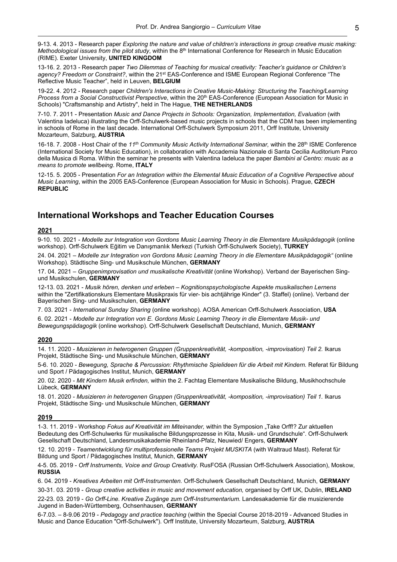9-13. 4. 2013 - Research paper *Exploring the nature and value of children's interactions in group creative music making: Methodological issues from the pilot study*, within the 8<sup>th</sup> International Conference for Research in Music Education (RIME). Exeter University, **UNITED KINGDOM**

13-16. 2. 2013 - Research paper *Two Dilemmas of Teaching for musical creativity: Teacher's guidance or Children's agency? Freedom or Constraint?*, within the 21st EAS-Conference and ISME European Regional Conference "The Reflective Music Teacher", held in Leuven, **BELGIUM**

19-22. 4. 2012 - Research paper *Children's Interactions in Creative Music-Making: Structuring the Teaching/Learning Process from a Social Constructivist Perspective*, within the 20th EAS-Conference (European Association for Music in Schools) "Craftsmanship and Artistry", held in The Hague, **THE NETHERLANDS**

7-10. 7. 2011 - Presentation *Music and Dance Projects in Schools: Organization, Implementation, Evaluation* (with Valentina Iadeluca) illustrating the Orff-Schulwerk-based music projects in schools that the CDM has been implementing in schools of Rome in the last decade. International Orff-Schulwerk Symposium 2011, Orff Institute, University Mozarteum, Salzburg, **AUSTRIA** 

16-18. 7. 2008 - Host Chair of the *11th Community Music Activity International Seminar,* within the 28th ISME Conference (International Society for Music Education), in collaboration with Accademia Nazionale di Santa Cecilia Auditorium Parco della Musica di Roma. Within the seminar he presents with Valentina Iadeluca the paper *Bambini al Centro: music as a means to promote wellbeing*. Rome, **ITALY**

12-15. 5. 2005 - Presentation *For an Integration within the Elemental Music Education of a Cognitive Perspective about Music Learning*, within the 2005 EAS-Conference (European Association for Music in Schools). Prague, **CZECH REPUBLIC**

## **International Workshops and Teacher Education Courses**

#### **2021**

9-10. 10. 2021 - *Modelle zur Integration von Gordons Music Learning Theory in die Elementare Musikpädagogik* (online workshop). Orff-Schulwerk Eğitim ve Danışmanlık Merkezi (Turkish Orff-Schulwerk Society), **TURKEY**

24. 04. 2021 – *Modelle zur Integration von Gordons Music Learning Theory in die Elementare Musikpädagogik"* (online Workshop). Städtische Sing- und Musikschule München, **GERMANY**

17. 04. 2021 – *Gruppenimprovisation und musikalische Kreativität* (online Workshop). Verband der Bayerischen Singund Musikschulen, **GERMANY**

12-13. 03. 2021 - *Musik hören, denken und erleben – Kognitionspsychologische Aspekte musikalischen Lernens* within the "Zertifikationskurs Elementare Musikpraxis für vier- bis achtjährige Kinder" (3. Staffel) (online). Verband der Bayerischen Sing- und Musikschulen, **GERMANY**

7. 03. 2021 - *International Sunday Sharing* (online workshop). AOSA American Orff-Schulwerk Association, **USA**

6. 02. 2021 - *Modelle zur Integration von E. Gordons Music Learning Theory in die Elementare Musik- und Bewegungspädagogik* (online workshop). Orff-Schulwerk Gesellschaft Deutschland, Munich, **GERMANY**

#### **2020**

14. 11. 2020 - *Musizieren in heterogenen Gruppen (Gruppenkreativität, -komposition, -improvisation) Teil 2.* Ikarus Projekt, Städtische Sing- und Musikschule München, **GERMANY**

5-6. 10. 2020 - *Bewegung, Sprache & Percussion: Rhythmische Spielideen für die Arbeit mit Kindern.* Referat für Bildung und Sport / Pädagogisches Institut, Munich, **GERMANY**

20. 02. 2020 - *Mit Kindern Musik erfinden,* within the 2. Fachtag Elementare Musikalische Bildung, Musikhochschule Lübeck, **GERMANY**

18. 01. 2020 - *Musizieren in heterogenen Gruppen (Gruppenkreativität, -komposition, -improvisation) Teil 1.* Ikarus Projekt, Städtische Sing- und Musikschule München, **GERMANY**

#### **2019**

1-3. 11. 2019 - Workshop *Fokus auf Kreativität im Miteinander,* within the Symposion "Take Orff!? Zur aktuellen Bedeutung des Orff-Schulwerks für musikalische Bildungsprozesse in Kita, Musik- und Grundschule". Orff-Schulwerk Gesellschaft Deutschland, Landesmusikakademie Rheinland-Pfalz, Neuwied/ Engers, **GERMANY**

12. 10. 2019 - *Teamentwicklung für multiprofessionelle Teams Projekt MUSKITA* (with Waltraud Mast). Referat für Bildung und Sport / Pädagogisches Institut, Munich, **GERMANY**

4-5. 05. 2019 - *Orff Instruments, Voice and Group Creativity.* RusFOSA (Russian Orff-Schulwerk Association), Moskow, **RUSSIA**

30-31. 03. 2019 - *Group creative activities in music and movement education,* organised by Orff UK, Dublin, **IRELAND**

22-23. 03. 2019 - *Go Orff-Line. Kreative Zugänge zum Orff-Instrumentarium.* Landesakademie für die musizierende Jugend in Baden-Württemberg, Ochsenhausen, **GERMANY**

6-7.03. – 8-9.06 2019 - *Pedagogy and practice teaching* (within the Special Course 2018-2019 - Advanced Studies in Music and Dance Education "Orff-Schulwerk"). Orff Institute, University Mozarteum, Salzburg, **AUSTRIA**

<sup>6. 04. 2019</sup> - *Kreatives Arbeiten mit Orff-Instrumenten.* Orff-Schulwerk Gesellschaft Deutschland, Munich, **GERMANY**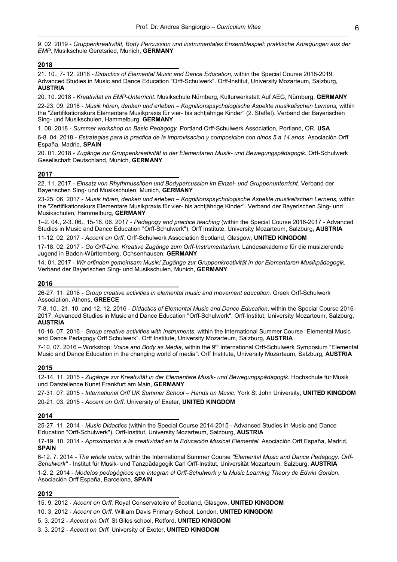9. 02. 2019 - *Gruppenkreativität, Body Percussion und instrumentales Ensemblespiel: praktische Anregungen aus der EMP,* Musikschule Geretsried, Munich, **GERMANY**

#### **2018**

21. 10., 7- 12. 2018 - *Didactics of Elemental Music and Dance Education*, within the Special Course 2018-2019, Advanced Studies in Music and Dance Education "Orff-Schulwerk". Orff-Institut, University Mozarteum, Salzburg, **AUSTRIA**

20. 10. 2018 - *Kreativität im EMP-Unterricht.* Musikschule Nürnberg, Kulturwerkstatt Auf AEG, Nürnberg, **GERMANY**

22-23. 09. 2018 - *Musik hören, denken und erleben – Kognitionspsychologische Aspekte musikalischen Lernens,* within the "Zertifikationskurs Elementare Musikpraxis für vier- bis achtjährige Kinder" (2. Staffel). Verband der Bayerischen Sing- und Musikschulen, Hammelburg, **GERMANY**

1. 08. 2018 - *Summer workshop on Basic Pedagogy.* Portland Orff-Schulwerk Association, Portland, OR, **USA**

6-8. 04. 2018 - *Estrategias para la practica de la improvisacion y composicion con ninos 5 a 14 anos.* Asociación Orff España, Madrid, **SPAIN**

20. 01. 2018 - *Zugänge zur Gruppenkreativität in der Elementaren Musik- und Bewegungspädagogik.* Orff-Schulwerk Gesellschaft Deutschland, Munich, **GERMANY**

#### **2017**

22. 11. 2017 - *Einsatz von Rhythmussilben und Bodypercussion im Einzel- und Gruppenunterricht.* Verband der Bayerischen Sing- und Musikschulen, Munich, **GERMANY**

23-25. 06. 2017 - *Musik hören, denken und erleben – Kognitionspsychologische Aspekte musikalischen Lernens,* within the "Zertifikationskurs Elementare Musikpraxis für vier- bis achtjährige Kinder". Verband der Bayerischen Sing- und Musikschulen, Hammelburg, **GERMANY**

1–2. 04., 2-3. 06., 15-16. 06. 2017 - *Pedagogy and practice teaching* (within the Special Course 2016-2017 - Advanced Studies in Music and Dance Education "Orff-Schulwerk"). Orff Institute, University Mozarteum, Salzburg, **AUSTRIA**

11-12. 02. 2017 - *Accent on Orff.* Orff-Schulwerk Association Scotland, Glasgow, **UNITED KINGDOM**

17-18. 02. 2017 - *Go Orff-Line. Kreative Zugänge zum Orff-Instrumentarium.* Landesakademie für die musizierende Jugend in Baden-Württemberg, Ochsenhausen, **GERMANY**

14. 01. 2017 - *Wir erfinden gemeinsam Musik! Zugänge zur Gruppenkreativität in der Elementaren Musikpädagogik.* Verband der Bayerischen Sing- und Musikschulen, Munich, **GERMANY**

#### **2016**

26-27. 11. 2016 - *Group creative activities in elemental music and movement education.* Greek Orff-Schulwerk Association, Athens, **GREECE**

7-8. 10., 21. 10. and 12. 12. 2016 - *Didactics of Elemental Music and Dance Education*, within the Special Course 2016- 2017, Advanced Studies in Music and Dance Education "Orff-Schulwerk". Orff-Institut, University Mozarteum, Salzburg, **AUSTRIA**

10-16. 07. 2016 - *Group creative activities with instruments*, within the International Summer Course "Elemental Music and Dance Pedagogy Orff Schulwerk". Orff Institute, University Mozarteum, Salzburg, **AUSTRIA**

7-10. 07. 2016 – Workshop: *Voice and Body as Media*, within the 9th International Orff-Schulwerk Symposium "Elemental Music and Dance Education in the changing world of media". Orff Institute, University Mozarteum, Salzburg, **AUSTRIA**

#### **2015**

12-14. 11. 2015 - *Zugänge zur Kreativität in der Elementare Musik- und Bewegungspädagogik.* Hochschule für Musik und Darstellende Kunst Frankfurt am Main, **GERMANY**

27-31. 07. 2015 - *International Orff UK Summer School – Hands on Music.* York St John University, **UNITED KINGDOM** 20-21. 03. 2015 - *Accent on Orff.* University of Exeter, **UNITED KINGDOM**

#### **2014**

25-27. 11. 2014 - *Music Didactics* (within the Special Course 2014-2015 - Advanced Studies in Music and Dance Education "Orff-Schulwerk"). Orff-Institut, University Mozarteum, Salzburg, **AUSTRIA**

17-19. 10. 2014 - *Aproximación a la creatividad en la Educación Musical Elemental.* Asociación Orff España, Madrid, **SPAIN**

6-12. 7. 2014 - *The whole voice,* within the International Summer Course *"Elemental Music and Dance Pedagogy: Orff-Schulwerk"* - Institut für Musik- und Tanzpädagogik Carl Orff-Institut, Universität Mozarteum, Salzburg, **AUSTRIA** 1-2. 2. 2014 - *Modelos pedagógicos que integran el Orff-Schulwerk y la Music Learning Theory de Edwin Gordon*. Asociación Orff España, Barcelona, **SPAIN**

#### **2012**

<sup>15. 9. 2012</sup> - *Accent on Orff.* Royal Conservatoire of Scotland, Glasgow, **UNITED KINGDOM**

<sup>10. 3. 2012</sup> - *Accent on Orff.* William Davis Primary School, London, **UNITED KINGDOM**

<sup>5. 3. 2012 -</sup> *Accent on Orff.* St Giles school, Retford, **UNITED KINGDOM**

<sup>3. 3. 2012 -</sup> *Accent on Orff.* University of Exeter, **UNITED KINGDOM**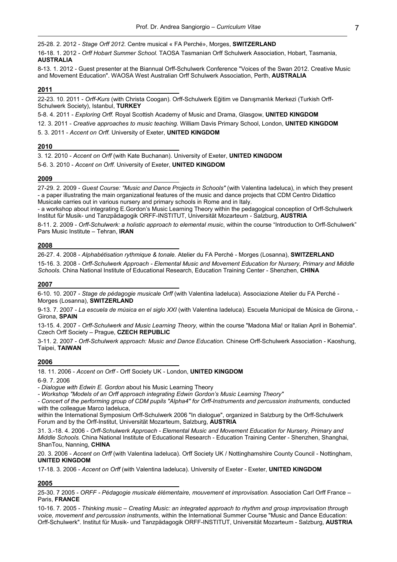25-28. 2. 2012 - *Stage Orff 2012.* Centre musical « FA Perché», Morges, **SWITZERLAND**

16-18. 1. 2012 - *Orff Hobart Summer School.* TAOSA Tasmanian Orff Schulwerk Association, Hobart, Tasmania, **AUSTRALIA**

8-13. 1. 2012 - Guest presenter at the Biannual Orff-Schulwerk Conference "Voices of the Swan 2012. Creative Music and Movement Education". WAOSA West Australian Orff Schulwerk Association, Perth, **AUSTRALIA**

#### **2011**

22-23. 10. 2011 - *Orff-Kurs* (with Christa Coogan). Orff-Schulwerk Eğitim ve Danışmanlık Merkezi (Turkish Orff-Schulwerk Society), Istanbul, **TURKEY**

5-8. 4. 2011 - *Exploring Orff.* Royal Scottish Academy of Music and Drama, Glasgow, **UNITED KINGDOM** 12. 3. 2011 - *Creative approaches to music teaching.* William Davis Primary School, London, **UNITED KINGDOM** 5. 3. 2011 - *Accent on Orff.* University of Exeter, **UNITED KINGDOM**

**2010**

3. 12. 2010 - *Accent on Orff* (with Kate Buchanan). University of Exeter, **UNITED KINGDOM**

5-6. 3. 2010 - *Accent on Orff.* University of Exeter, **UNITED KINGDOM**

#### **2009**

27-29. 2. 2009 - *Guest Course: "Music and Dance Projects in Schools"* (with Valentina Iadeluca), in which they present - a paper illustrating the main organizational features of the music and dance projects that CDM Centro Didattico Musicale carries out in various nursery and primary schools in Rome and in Italy.

- a workshop about integrating E.Gordon's Music Learning Theory within the pedagogical conception of Orff-Schulwerk Institut für Musik- und Tanzpädagogik ORFF-INSTITUT, Universität Mozarteum - Salzburg, **AUSTRIA**

8-11. 2. 2009 - *Orff-Schulwerk: a holistic approach to elemental music*, within the course "Introduction to Orff-Schulwerk" Pars Music Institute – Tehran, **IRAN**

#### **2008**

26-27. 4. 2008 - *Alphabétisation rythmique & tonale.* Atelier du FA Perché - Morges (Losanna), **SWITZERLAND** 15-16. 3. 2008 - *Orff-Schulwerk Approach - Elemental Music and Movement Education for Nursery, Primary and Middle Schools.* China National Institute of Educational Research, Education Training Center - Shenzhen, **CHINA**

#### **2007**

6-10. 10. 2007 - *Stage de pédagogie musicale Orff* (with Valentina Iadeluca). Associazione Atelier du FA Perché - Morges (Losanna), **SWITZERLAND**

9-13. 7. 2007 - *La escuela de música en el siglo XXI* (with Valentina Iadeluca). Escuela Municipal de Música de Girona, - Girona, **SPAIN**

13-15. 4. 2007 - *Orff-Schulwerk and Music Learning Theory,* within the course "Madona Mia! or Italian April in Bohemia". Czech Orff Society – Prague, **CZECH REPUBLIC**

3-11. 2. 2007 - *Orff-Schulwerk approach: Music and Dance Education.* Chinese Orff-Schulwerk Association - Kaoshung, Taipei, **TAIWAN**

#### **2006**

18. 11. 2006 - *Accent on Orff* - Orff Society UK - London, **UNITED KINGDOM**

6-9. 7. 2006

- *Dialogue with Edwin E. Gordon* about his Music Learning Theory

*- Workshop "Models of an Orff approach integrating Edwin Gordon's Music Learning Theory"*

*- Concert of the performing group of CDM pupils "Alpha4" for Orff-Instruments and percussion instruments,* conducted with the colleague Marco Iadeluca,

within the International Symposium Orff-Schulwerk 2006 "In dialogue", organized in Salzburg by the Orff-Schulwerk Forum and by the Orff-Institut, Universität Mozarteum, Salzburg, **AUSTRIA**

31. 3.-18. 4. 2006 - *Orff-Schulwerk Approach - Elemental Music and Movement Education for Nursery, Primary and Middle Schools.* China National Institute of Educational Research - Education Training Center - Shenzhen, Shanghai, ShanTou, Nanning, **CHINA**

20. 3. 2006 - *Accent on Orff* (with Valentina Iadeluca). Orff Society UK / Nottinghamshire County Council - Nottingham, **UNITED KINGDOM**

17-18. 3. 2006 - *Accent on Orff* (with Valentina Iadeluca). University of Exeter - Exeter, **UNITED KINGDOM**

## **2005**

25-30. 7 2005 - *ORFF - Pédagogie musicale élémentaire, mouvement et improvisation.* Association Carl Orff France – Paris, **FRANCE**

10-16. 7. 2005 - *Thinking music – Creating Music: an integrated approach to rhythm and group improvisation through voice, movement and percussion instruments*, within the International Summer Course "Music and Dance Education: Orff-Schulwerk". Institut für Musik- und Tanzpädagogik ORFF-INSTITUT, Universität Mozarteum - Salzburg, **AUSTRIA**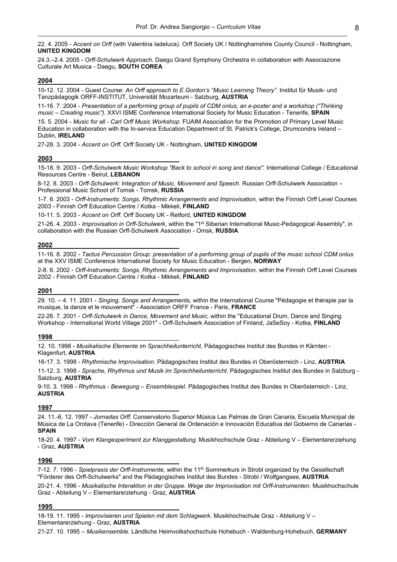22. 4. 2005 - *Accent on Orff* (with Valentina Iadeluca). Orff Society UK / Nottinghamshire County Council - Nottingham, **UNITED KINGDOM**

24.3.–2.4. 2005 - *Orff-Schulwerk Approach.* Daegu Grand Symphony Orchestra in collaboration with Associazione Culturale Art Musica - Daegu, **SOUTH COREA**

#### **2004**

10-12. 12. 2004 - Guest Course: *An Orff approach to E.Gordon's "Music Learning Theory"*. Institut für Musik- und Tanzpädagogik ORFF-INSTITUT, Universität Mozarteum - Salzburg, **AUSTRIA**

11-16. 7. 2004 - *Presentation of a performing group of pupils of CDM onlus, an e-poster and a workshop ("Thinking music – Creating music").* XXVI ISME Conference International Society for Music Education - Tenerife, **SPAIN** 15. 5. 2004 - *Music for all - Carl Orff Music Workshop.* FUAIM Association for the Promotion of Primary Level Music Education in collaboration with the In-service Education Department of St. Patrick's College, Drumcondra Ireland – Dublin, **IRELAND**

27-28. 3. 2004 - *Accent on Orff.* Orff Society UK - Nottingham, **UNITED KINGDOM**

#### **2003**

15-18. 9. 2003 - *Orff-Schulwerk Music Workshop "Back to school in song and dance".* International College / Educational Resources Centre - Beirut, **LEBANON**

8-12. 8. 2003 - *Orff-Schulwerk: Integration of Music, Movement and Speech.* Russian Orff-Schulwerk Association – Professional Music School of Tomsk - Tomsk, **RUSSIA**

1-7. 6. 2003 - *Orff-Instruments: Songs, Rhythmic Arrangements and Improvisation,* within the Finnish Orff Level Courses 2003 - Finnish Orff Education Centre / Kotka - Mikkeli, **FINLAND**

10-11. 5. 2003 - *Accent on Orff.* Orff Society UK - Retford, **UNITED KINGDOM**

21-26. 4. 2003 - *Improvisation in Orff-Schulwerk*, within the "1st Siberian International Music-Pedagogical Assembly", in collaboration with the Russian Orff-Schulwerk Association - Omsk, **RUSSIA**

#### **2002**

11-16. 8. 2002 - *Tactus Percussion Group: presentation of a performing group of pupils of the music school CDM onlus* at the XXV ISME Conference International Society for Music Education - Bergen, **NORWAY**

2-8. 6. 2002 - *Orff-Instruments: Songs, Rhythmic Arrangements and Improvisation,* within the Finnish Orff Level Courses 2002 - Finnish Orff Education Centre / Kotka - Mikkeli, **FINLAND**

#### **2001**

29. 10. – 4. 11. 2001 - *Singing, Songs and Arrangements,* within the International Course "Pédagogie et thérapie par la musique, la danze et le mouvement" - Association ORFF France - Paris, **FRANCE**

22-26. 7. 2001 - *Orff-Schulwerk in Dance, Movement and Music,* within the "Educational Drum, Dance and Singing Workshop - International World Village 2001" - Orff-Schulwerk Association of Finland, JaSeSoy - Kotka, **FINLAND**

#### **1998**

12. 10. 1998 - *Musikalische Elemente im Sprachheilunterricht.* Pädagogisches Institut des Bundes in Kärnten - Klagenfurt, **AUSTRIA**

16-17. 3. 1998 - *Rhythmische Improvisation.* Pädagogisches Institut des Bundes in Oberösterreich - Linz, **AUSTRIA**

11-12. 3. 1998 - *Sprache, Rhythmus und Musik im Sprachheilunterricht.* Pädagogisches Institut des Bundes in Salzburg - Salzburg, **AUSTRIA**

9-10. 3. 1998 - *Rhythmus - Bewegung – Ensemblespiel.* Pädagogisches Institut des Bundes in Oberösterreich - Linz, **AUSTRIA**

#### **1997**

24. 11.-6. 12. 1997 - *Jornadas Orff.* Conservatorio Superior Música Las Palmas de Gran Canaria, Escuela Municipal de Música de La Orotava (Tenerife) - Dirección General de Ordenación e Innovación Educativa del Gobierno de Canarias - **SPAIN**

18-20. 4. 1997 - *Vom Klangexperiment zur Klanggestaltung.* Musikhochschule Graz - Abteilung V – Elementarerziehung - Graz, **AUSTRIA**

#### **1996**

7-12. 7. 1996 - *Spielpraxis der Orff-Instrumente,* within the 11th Sommerkurs in Strobl organized by the Gesellschaft "Förderer des Orff-Schulwerks" and the Pädagogisches Institut des Bundes - Strobl / Wolfgangsee, **AUSTRIA**

20-21. 4. 1996 - *Musikalische Interaktion in der Gruppe. Wege der Improvisation mit Orff-Instrumenten.* Musikhochschule Graz - Abteilung V – Elementarerziehung - Graz, **AUSTRIA**

#### **1995**

18-19. 11. 1995 - *Improvisieren und Spielen mit dem Schlagwerk.* Musikhochschule Graz - Abteilung V – Elementarerziehung - Graz, **AUSTRIA**

21-27. 10. 1995 – *Musikensemble.* Ländliche Heimvolkshochschule Hohebuch - Waldenburg-Hohebuch, **GERMANY**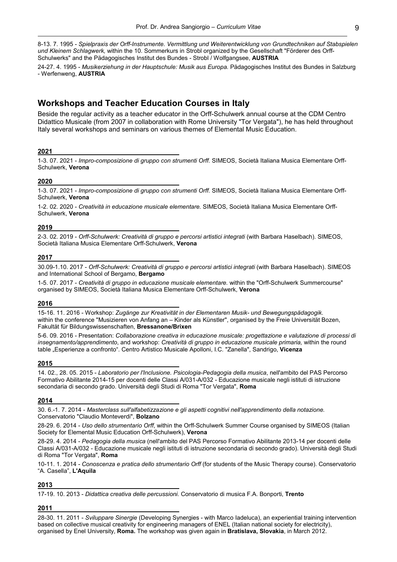8-13. 7. 1995 - *Spielpraxis der Orff-Instrumente. Vermittlung und Weiterentwicklung von Grundtechniken auf Stabspielen und Kleinem Schlagwerk,* within the 10. Sommerkurs in Strobl organized by the Gesellschaft "Förderer des Orff-Schulwerks" and the Pädagogisches Institut des Bundes - Strobl / Wolfgangsee, **AUSTRIA**

24-27. 4. 1995 - *Musikerziehung in der Hauptschule: Musik aus Europa.* Pädagogisches Institut des Bundes in Salzburg - Werfenweng, **AUSTRIA**

## **Workshops and Teacher Education Courses in Italy**

Beside the regular activity as a teacher educator in the Orff-Schulwerk annual course at the CDM Centro Didattico Musicale (from 2007 in collaboration with Rome University "Tor Vergata"), he has held throughout Italy several workshops and seminars on various themes of Elemental Music Education.

#### **2021**

1-3. 07. 2021 - *Impro-composizione di gruppo con strumenti Orff.* SIMEOS, Società Italiana Musica Elementare Orff-Schulwerk, **Verona**

#### **2020**

1-3. 07. 2021 - *Impro-composizione di gruppo con strumenti Orff.* SIMEOS, Società Italiana Musica Elementare Orff-Schulwerk, **Verona**

1-2. 02. 2020 - *Creatività in educazione musicale elementare.* SIMEOS, Società Italiana Musica Elementare Orff-Schulwerk, **Verona**

#### **2019**

2-3. 02. 2019 - *Orff-Schulwerk: Creatività di gruppo e percorsi artistici integrati* (with Barbara Haselbach). SIMEOS, Società Italiana Musica Elementare Orff-Schulwerk, **Verona**

#### **2017**

30.09-1.10. 2017 - *Orff-Schulwerk: Creatività di gruppo e percorsi artistici integrati* (with Barbara Haselbach). SIMEOS and International School of Bergamo, **Bergamo**

1-5. 07. 2017 - *Creatività di gruppo in educazione musicale elementare.* within the "Orff-Schulwerk Summercourse" organised by SIMEOS, Società Italiana Musica Elementare Orff-Schulwerk, **Verona**

#### **2016**

15-16. 11. 2016 - Workshop: *Zugänge zur Kreativität in der Elementaren Musik- und Bewegungspädagogik*. within the conference "Musizieren von Anfang an – Kinder als Künstler", organised by the Freie Universität Bozen, Fakultät für Bildungswissenschaften, **Bressanone/Brixen**

5-6. 09. 2016 - Presentation: *Collaborazione creativa in educazione musicale: progettazione e valutazione di processi di insegnamento/apprendimento*, and workshop: *Creatività di gruppo in educazione musicale primaria,* within the round table "Esperienze a confronto". Centro Artistico Musicale Apolloni, I.C. "Zanella", Sandrigo, **Vicenza**

#### **2015**

14. 02., 28. 05. 2015 - *Laboratorio per l'Inclusione. Psicologia-Pedagogia della musica*, nell'ambito del PAS Percorso Formativo Abilitante 2014-15 per docenti delle Classi A/031-A/032 - Educazione musicale negli istituti di istruzione secondaria di secondo grado. Università degli Studi di Roma "Tor Vergata", **Roma**

#### **2014**

30. 6.-1. 7. 2014 - *Masterclass sull'alfabetizzazione e gli aspetti cognitivi nell'apprendimento della notazione.*  Conservatorio "Claudio Monteverdi", **Bolzano**

28-29. 6. 2014 - *Uso dello strumentario Orff*, within the Orff-Schulwerk Summer Course organised by SIMEOS (Italian Society for Elemental Music Education Orff-Schulwerk), **Verona**

28-29. 4. 2014 - *Pedagogia della musica* (nell'ambito del PAS Percorso Formativo Abilitante 2013-14 per docenti delle Classi A/031-A/032 - Educazione musicale negli istituti di istruzione secondaria di secondo grado). Università degli Studi di Roma "Tor Vergata", **Roma**

10-11. 1. 2014 - *Conoscenza e pratica dello strumentario Orff* (for students of the Music Therapy course). Conservatorio "A. Casella", **L'Aquila**

#### **2013**

17-19. 10. 2013 - *Didattica creativa delle percussioni.* Conservatorio di musica F.A. Bonporti, **Trento**

#### **2011**

28-30. 11. 2011 - *Sviluppare Sinergie* (Developing Synergies - with Marco Iadeluca), an experiential training intervention based on collective musical creativity for engineering managers of ENEL (Italian national society for electricity), organised by Enel University, **Roma.** The workshop was given again in **Bratislava, Slovakia**, in March 2012.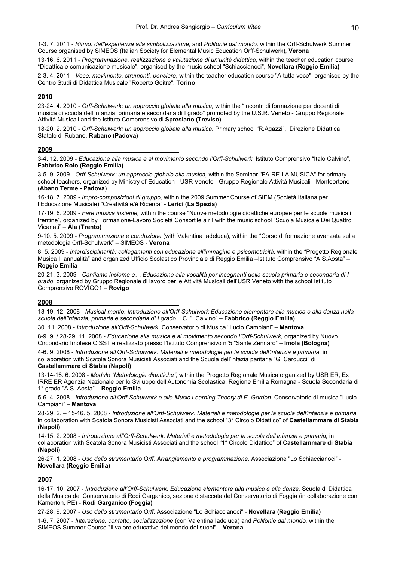1-3. 7. 2011 - *Ritmo: dall'esperienza alla simbolizzazione,* and *Polifonie dal mondo,* within the Orff-Schulwerk Summer Course organised by SIMEOS (Italian Society for Elemental Music Education Orff-Schulwerk), **Verona**

13-16. 6. 2011 - *Programmazione, realizzazione e valutazione di un'unità didattica,* within the teacher education course "Didattica e comunicazione musicale", organised by the music school "Schiaccianoci", **Novellara (Reggio Emilia)**

2-3. 4. 2011 - *Voce, movimento, strumenti, pensiero*, within the teacher education course "A tutta voce", organised by the Centro Studi di Didattica Musicale "Roberto Goitre", **Torino**

#### **2010**

23-24. 4. 2010 - *Orff-Schulwerk: un approccio globale alla musica,* within the "Incontri di formazione per docenti di musica di scuola dell'infanzia, primaria e secondaria di I grado" promoted by the U.S.R. Veneto - Gruppo Regionale Attività Musicali and the Istituto Comprensivo di **Spresiano (Treviso)**

18-20. 2. 2010 - *Orff-Schulwerk: un approccio globale alla musica.* Primary school "R.Agazzi", Direzione Didattica Statale di Rubano, **Rubano (Padova)**

#### **2009**

3-4. 12. 2009 - *Educazione alla musica e al movimento secondo l'Orff-Schulwerk.* Istituto Comprensivo "Italo Calvino", **Fabbrico Rolo (Reggio Emilia)**

3-5. 9. 2009 - *Orff-Schulwerk: un approccio globale alla musica,* within the Seminar "FA-RE-LA MUSICA" for primary school teachers, organized by Ministry of Education - USR Veneto - Gruppo Regionale Attività Musicali - Monteortone (**Abano Terme - Padova**)

16-18. 7. 2009 - *Impro-composizioni di gruppo,* within the 2009 Summer Course of SIEM (Società Italiana per l'Educazione Musicale) "Creatività e/è Ricerca" - **Lerici (La Spezia)**

17-19. 6. 2009 - *Fare musica insieme,* within the course "Nuove metodologie didattiche europee per le scuole musicali trentine", organized by Formazione-Lavoro Società Consortile a r.l with the music school "Scuola Musicale Dei Quattro Vicariati" – **Ala (Trento)**

9-10. 5. 2009 - *Programmazione e conduzione* (with Valentina Iadeluca), within the "Corso di formazione avanzata sulla metodologia Orff-Schulwerk" – SIMEOS - **Verona**

8. 5. 2009 - *Interdisciplinarità: collegamenti con educazione all'immagine e psicomotricità,* within the "Progetto Regionale Musica II annualità" and organized Ufficio Scolastico Provinciale di Reggio Emilia –Istituto Comprensivo "A.S.Aosta" – **Reggio Emilia**

20-21. 3. 2009 - *Cantiamo insieme e… Educazione alla vocalità per insegnanti della scuola primaria e secondaria di I grado,* organized by Gruppo Regionale di lavoro per le Attività Musicali dell'USR Veneto with the school Istituto Comprensivo ROVIGO1 – **Rovigo**

#### **2008**

18-19. 12. 2008 - *Musical-mente. Introduzione all'Orff-Schulwerk Educazione elementare alla musica e alla danza nella scuola dell'infanzia, primaria e secondaria di I grado*. I.C. "I.Calvino" – **Fabbrico (Reggio Emilia)**

30. 11. 2008 - *Introduzione all'Orff-Schulwerk.* Conservatorio di Musica "Lucio Campiani" – **Mantova**

8-9. 9. / 28-29. 11. 2008 - *Educazione alla musica e al movimento secondo l'Orff-Schulwerk,* organized by Nuovo Circondario Imolese CISST e realizzato presso l'Istituto Comprensivo n°5 "Sante Zennaro" – **Imola (Bologna)**

4-6. 9. 2008 - *Introduzione all'Orff-Schulwerk. Materiali e metodologie per la scuola dell'infanzia e primaria*, in collaboration with Scatola Sonora Musicisti Associati and the Scuola dell'infazia paritaria "G. Carducci" di **Castellammare di Stabia (Napoli)**

13-14-16. 6. 2008 - *Modulo "Metodologie didattiche"*, within the Progetto Regionale Musica organized by USR ER, Ex IRRE ER Agenzia Nazionale per lo Sviluppo dell'Autonomia Scolastica, Regione Emilia Romagna - Scuola Secondaria di 1° grado "A.S. Aosta" – **Reggio Emilia**

5-6. 4. 2008 - *Introduzione all'Orff-Schulwerk e alla Music Learning Theory di E. Gordon.* Conservatorio di musica "Lucio Campiani" – **Mantova**

28-29. 2. – 15-16. 5. 2008 - *Introduzione all'Orff-Schulwerk. Materiali e metodologie per la scuola dell'infanzia e primaria,* in collaboration with Scatola Sonora Musicisti Associati and the school "3° Circolo Didattico" of **Castellammare di Stabia (Napoli)**

14-15. 2. 2008 - *Introduzione all'Orff-Schulwerk. Materiali e metodologie per la scuola dell'infanzia e primaria,* in collaboration with Scatola Sonora Musicisti Associati and the school "1° Circolo Didattico" of **Castellammare di Stabia (Napoli)**

26-27. 1. 2008 - *Uso dello strumentario Orff. Arrangiamento e programmazione.* Associazione "Lo Schiaccianoci" - **Novellara (Reggio Emilia)**

#### **2007**

16-17. 10. 2007 - *Introduzione all'Orff-Schulwerk. Educazione elementare alla musica e alla danza.* Scuola di Didattica della Musica del Conservatorio di Rodi Garganico, sezione distaccata del Conservatorio di Foggia (in collaborazione con Kamerton, PE) - **Rodi Garganico (Foggia)**

27-28. 9. 2007 - *Uso dello strumentario Orff*. Associazione "Lo Schiaccianoci" - **Novellara (Reggio Emilia)** 1-6. 7. 2007 - *Interazione, contatto, socializzazione* (con Valentina Iadeluca) and *Polifonie dal mondo,* within the SIMEOS Summer Course "Il valore educativo del mondo dei suoni" – **Verona**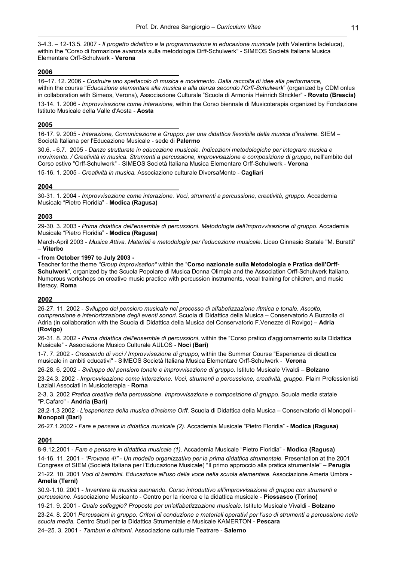3-4.3. – 12-13.5. 2007 - *Il progetto didattico e la programmazione in educazione musicale* (with Valentina Iadeluca), within the "Corso di formazione avanzata sulla metodologia Orff-Schulwerk" - SIMEOS Società Italiana Musica Elementare Orff-Schulwerk - **Verona**

#### **2006**

16–17. 12. 2006 - *Costruire uno spettacolo di musica e movimento. Dalla raccolta di idee alla performance,* within the course "*Educazione elementare alla musica e alla danza secondo l'Orff-Schulwerk*" (organized by CDM onlus in collaboration with Simeos, Verona), Associazione Culturale "Scuola di Armonia Heinrich Strickler" - **Rovato (Brescia)**

13-14. 1. 2006 - *Improvvisazione come interazione,* within the Corso biennale di Musicoterapia organized by Fondazione Istituto Musicale della Valle d'Aosta - **Aosta**

#### **2005**

16-17. 9. 2005 - *Interazione, Comunicazione e Gruppo: per una didattica flessibile della musica d'insieme.* SIEM – Società Italiana per l'Educazione Musicale - sede di **Palermo**

30.6. - 6.7. 2005 - *Danze strutturate in educazione musicale. Indicazioni metodologiche per integrare musica e movimento. / Creatività in musica. Strumenti a percussione, improvvisazione e composizione di gruppo*, nell'ambito del Corso estivo "Orff-Schulwerk" - SIMEOS Società Italiana Musica Elementare Orff-Schulwerk - **Verona**

15-16. 1. 2005 - *Creatività in musica.* Associazione culturale DiversaMente - **Cagliari**

#### **2004**

30-31. 1. 2004 - *Improvvisazione come interazione. Voci, strumenti a percussione, creatività, gruppo.* Accademia Musicale "Pietro Floridia" - **Modica (Ragusa)**

#### **2003**

29-30. 3. 2003 - *Prima didattica dell'ensemble di percussioni. Metodologia dell'improvvisazione di gruppo.* Accademia Musicale "Pietro Floridia" - **Modica (Ragusa)**

March-April 2003 - *Musica Attiva. Materiali e metodologie per l'educazione musicale*. Liceo Ginnasio Statale "M. Buratti" – **Viterbo**

#### **- from October 1997 to July 2003 -**

Teacher for the theme *"Group Improvisation"* within the "**Corso nazionale sulla Metodologia e Pratica dell'Orff-Schulwerk**", organized by the Scuola Popolare di Musica Donna Olimpia and the Association Orff-Schulwerk Italiano. Numerous workshops on creative music practice with percussion instruments, vocal training for children, and music literacy. **Roma**

#### **2002**

26-27. 11. 2002 - *Sviluppo del pensiero musicale nel processo di alfabetizzazione ritmica e tonale. Ascolto, comprensione e interiorizzazione degli eventi sonori*. Scuola di Didattica della Musica – Conservatorio A.Buzzolla di Adria (in collaboration with the Scuola di Didattica della Musica del Conservatorio F.Venezze di Rovigo) – **Adria (Rovigo)**

26-31. 8. 2002 - *Prima didattica dell'ensemble di percussioni*, within the "Corso pratico d'aggiornamento sulla Didattica Musicale" - Associazione Musico Culturale AULOS - **Noci (Bari)**

1-7. 7. 2002 - *Crescendo di voci / Improvvisazione di gruppo*, within the Summer Course "Esperienze di didattica musicale in ambiti educativi" - SIMEOS Società Italiana Musica Elementare Orff-Schulwerk - **Verona**

26-28. 6. 2002 - *Sviluppo del pensiero tonale e improvvisazione di gruppo*. Istituto Musicale Vivaldi – **Bolzano**

23-24.3. 2002 - *Improvvisazione come interazione. Voci, strumenti a percussione, creatività, gruppo.* Plaim Professionisti Laziali Associati in Musicoterapia - **Roma**

2-3. 3. 2002 *Pratica creativa della percussione. Improvvisazione e composizione di gruppo.* Scuola media statale "P.Cafaro" - **Andria (Bari)**

28.2-1.3 2002 - *L'esperienza della musica d'insieme Orff.* Scuola di Didattica della Musica – Conservatorio di Monopoli - **Monopoli (Bari)**

26-27.1.2002 - *Fare e pensare in didattica musicale (2).* Accademia Musicale "Pietro Floridia" - **Modica (Ragusa)**

#### **2001**

8-9.12.2001 - *Fare e pensare in didattica musicale (1)*. Accademia Musicale "Pietro Floridia" - **Modica (Ragusa)** 14-16. 11. 2001 - *"Provane 4!" - Un modello organizzativo per la prima didattica strumentale.* Presentation at the 2001 Congress of SIEM (Società Italiana per l'Educazione Musicale) "Il primo approccio alla pratica strumentale" – **Perugia** 21-22. 10. 2001 *Voci di bambini. Educazione all'uso della voce nella scuola elementare.* Associazione Ameria Umbra - **Amelia (Terni)**

30.9-1.10. 2001 - *Inventare la musica suonando. Corso introduttivo all'improvvisazione di gruppo con strumenti a percussione.* Associazione Musicanto - Centro per la ricerca e la didattica musicale - **Piossasco (Torino)**

19-21. 9. 2001 - *Quale solfeggio? Proposte per un'alfabetizzazione musicale.* Istituto Musicale Vivaldi - **Bolzano**

23-24. 8. 2001 *Percussioni in gruppo. Criteri di conduzione e materiali operativi per l'uso di strumenti a percussione nella scuola media.* Centro Studi per la Didattica Strumentale e Musicale KAMERTON - **Pescara**

24–25. 3. 2001 - *Tamburi e dintorni*. Associazione culturale Teatrare - **Salerno**